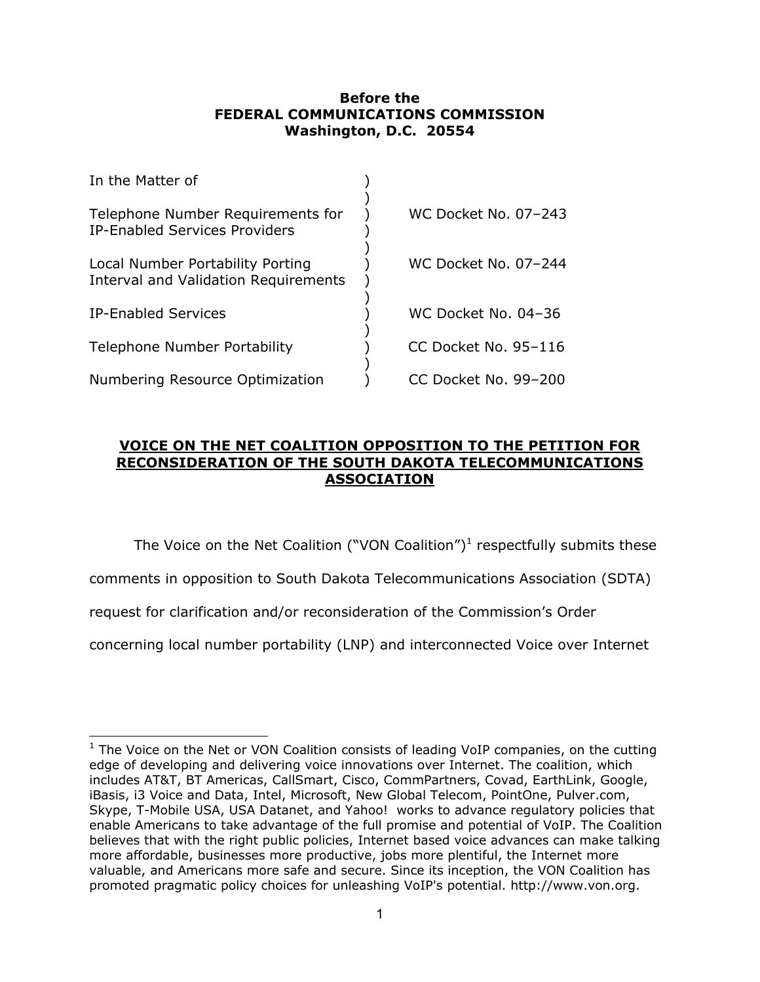## **Before the FEDERAL COMMUNICATIONS COMMISSION Washington, D.C. 20554**

| In the Matter of                                                                |                      |
|---------------------------------------------------------------------------------|----------------------|
| Telephone Number Requirements for<br><b>IP-Enabled Services Providers</b>       | WC Docket No. 07-243 |
| Local Number Portability Porting<br><b>Interval and Validation Requirements</b> | WC Docket No. 07-244 |
| IP-Enabled Services                                                             | WC Docket No. 04-36  |
| <b>Telephone Number Portability</b>                                             | CC Docket No. 95-116 |
| Numbering Resource Optimization                                                 | CC Docket No. 99-200 |

## **VOICE ON THE NET COALITION OPPOSITION TO THE PETITION FOR RECONSIDERATION OF THE SOUTH DAKOTA TELECOMMUNICATIONS ASSOCIATION**

The Voice on the Net Coalition ("VON Coalition")<sup>1</sup> respectfully submits these

comments in opposition to South Dakota Telecommunications Association (SDTA)

request for clarification and/or reconsideration of the Commission's Order

 $\overline{a}$ 

concerning local number portability (LNP) and interconnected Voice over Internet

 $1$  The Voice on the Net or VON Coalition consists of leading VoIP companies, on the cutting edge of developing and delivering voice innovations over Internet. The coalition, which includes AT&T, BT Americas, CallSmart, Cisco, CommPartners, Covad, EarthLink, Google, iBasis, i3 Voice and Data, Intel, Microsoft, New Global Telecom, PointOne, Pulver.com, Skype, T-Mobile USA, USA Datanet, and Yahoo! works to advance regulatory policies that enable Americans to take advantage of the full promise and potential of VoIP. The Coalition believes that with the right public policies, Internet based voice advances can make talking more affordable, businesses more productive, jobs more plentiful, the Internet more valuable, and Americans more safe and secure. Since its inception, the VON Coalition has promoted pragmatic policy choices for unleashing VoIP's potential. http://www.von.org.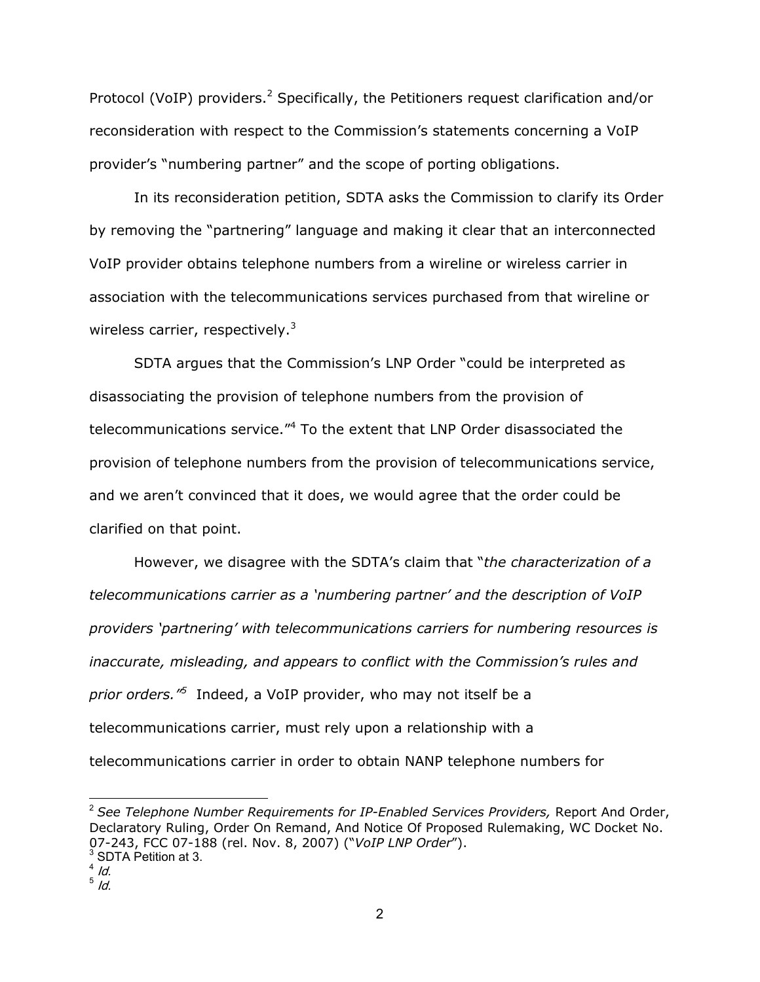Protocol (VoIP) providers.<sup>2</sup> Specifically, the Petitioners request clarification and/or reconsideration with respect to the Commission's statements concerning a VoIP provider's "numbering partner" and the scope of porting obligations.

In its reconsideration petition, SDTA asks the Commission to clarify its Order by removing the "partnering" language and making it clear that an interconnected VoIP provider obtains telephone numbers from a wireline or wireless carrier in association with the telecommunications services purchased from that wireline or wireless carrier, respectively. $3$ 

SDTA argues that the Commission's LNP Order "could be interpreted as disassociating the provision of telephone numbers from the provision of telecommunications service."<sup>4</sup> To the extent that LNP Order disassociated the provision of telephone numbers from the provision of telecommunications service, and we aren't convinced that it does, we would agree that the order could be clarified on that point.

However, we disagree with the SDTA's claim that "*the characterization of a telecommunications carrier as a 'numbering partner' and the description of VoIP providers 'partnering' with telecommunications carriers for numbering resources is inaccurate, misleading, and appears to conflict with the Commission's rules and prior orders."5* Indeed, a VoIP provider, who may not itself be a telecommunications carrier, must rely upon a relationship with a telecommunications carrier in order to obtain NANP telephone numbers for

<sup>2</sup> *See Telephone Number Requirements for IP-Enabled Services Providers,* Report And Order, Declaratory Ruling, Order On Remand, And Notice Of Proposed Rulemaking, WC Docket No. 07-243, FCC 07-188 (rel. Nov. 8, 2007) ("*VoIP LNP Order*"). <sup>3</sup> <sup>3</sup> SDTA Petition at 3.

 $4$  Id.

 $^5$  Id.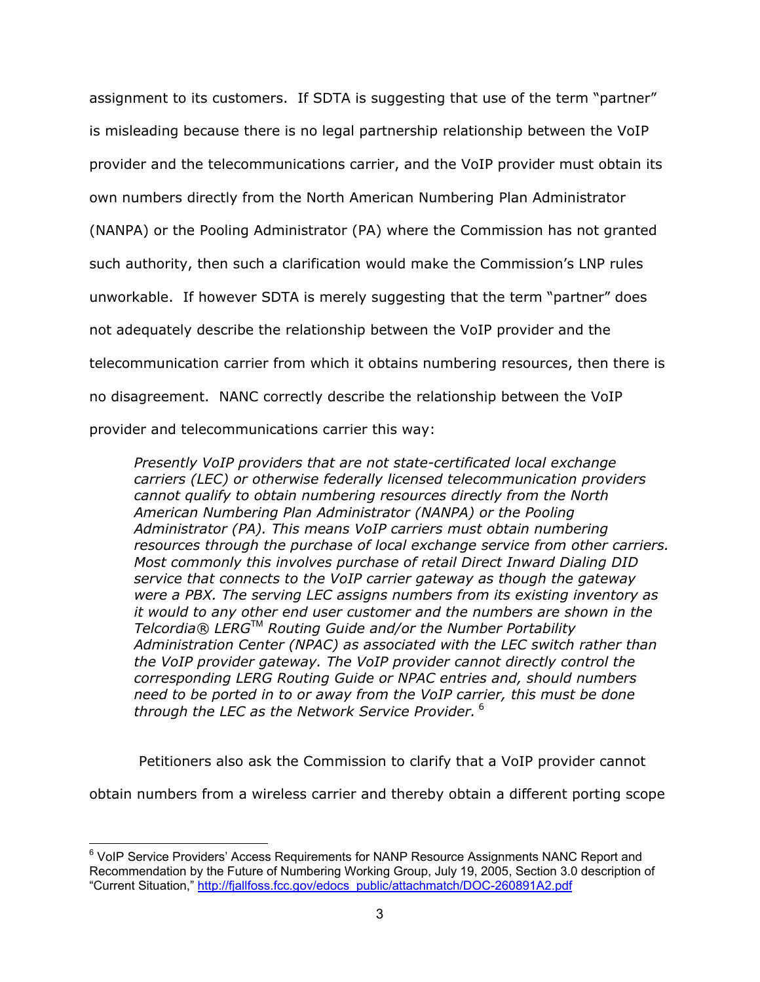assignment to its customers. If SDTA is suggesting that use of the term "partner" is misleading because there is no legal partnership relationship between the VoIP provider and the telecommunications carrier, and the VoIP provider must obtain its own numbers directly from the North American Numbering Plan Administrator (NANPA) or the Pooling Administrator (PA) where the Commission has not granted such authority, then such a clarification would make the Commission's LNP rules unworkable. If however SDTA is merely suggesting that the term "partner" does not adequately describe the relationship between the VoIP provider and the telecommunication carrier from which it obtains numbering resources, then there is no disagreement. NANC correctly describe the relationship between the VoIP provider and telecommunications carrier this way:

*Presently VoIP providers that are not state-certificated local exchange carriers (LEC) or otherwise federally licensed telecommunication providers cannot qualify to obtain numbering resources directly from the North American Numbering Plan Administrator (NANPA) or the Pooling Administrator (PA). This means VoIP carriers must obtain numbering resources through the purchase of local exchange service from other carriers. Most commonly this involves purchase of retail Direct Inward Dialing DID service that connects to the VoIP carrier gateway as though the gateway were a PBX. The serving LEC assigns numbers from its existing inventory as it would to any other end user customer and the numbers are shown in the Telcordia® LERG*TM *Routing Guide and/or the Number Portability Administration Center (NPAC) as associated with the LEC switch rather than the VoIP provider gateway. The VoIP provider cannot directly control the corresponding LERG Routing Guide or NPAC entries and, should numbers need to be ported in to or away from the VoIP carrier, this must be done through the LEC as the Network Service Provider.*<sup>6</sup>

Petitioners also ask the Commission to clarify that a VoIP provider cannot

obtain numbers from a wireless carrier and thereby obtain a different porting scope

 <sup>6</sup> VoIP Service Providers' Access Requirements for NANP Resource Assignments NANC Report and Recommendation by the Future of Numbering Working Group, July 19, 2005, Section 3.0 description of "Current Situation," http://fjallfoss.fcc.gov/edocs\_public/attachmatch/DOC-260891A2.pdf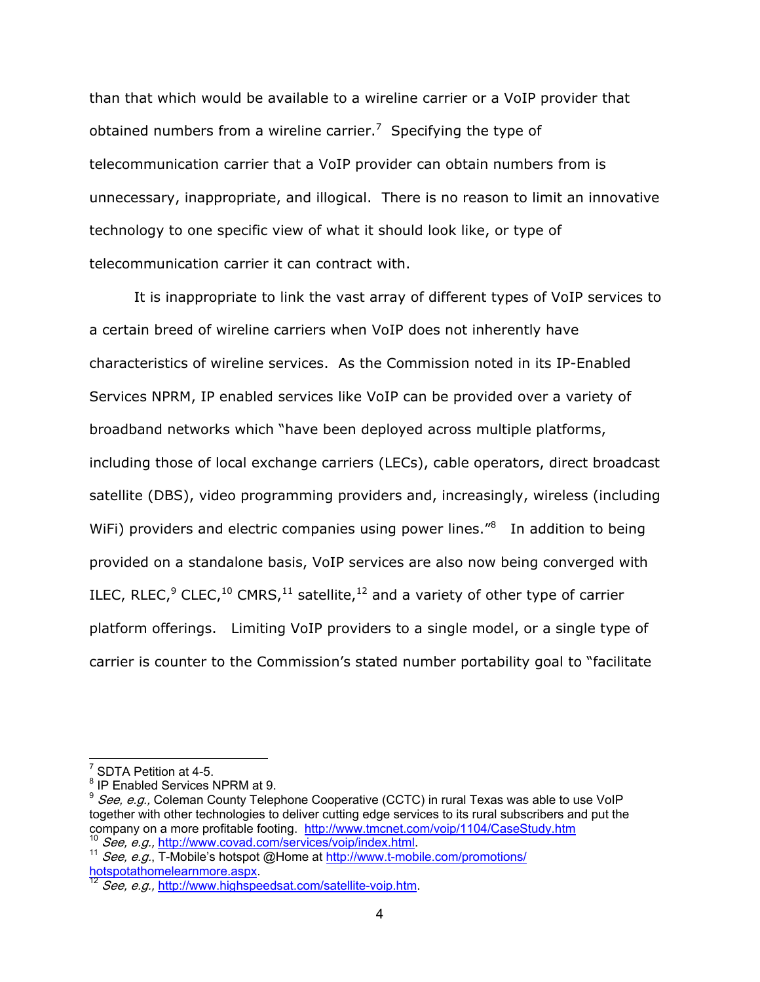than that which would be available to a wireline carrier or a VoIP provider that obtained numbers from a wireline carrier.<sup>7</sup> Specifying the type of telecommunication carrier that a VoIP provider can obtain numbers from is unnecessary, inappropriate, and illogical. There is no reason to limit an innovative technology to one specific view of what it should look like, or type of telecommunication carrier it can contract with.

It is inappropriate to link the vast array of different types of VoIP services to a certain breed of wireline carriers when VoIP does not inherently have characteristics of wireline services. As the Commission noted in its IP-Enabled Services NPRM, IP enabled services like VoIP can be provided over a variety of broadband networks which "have been deployed across multiple platforms, including those of local exchange carriers (LECs), cable operators, direct broadcast satellite (DBS), video programming providers and, increasingly, wireless (including WiFi) providers and electric companies using power lines."<sup>8</sup> In addition to being provided on a standalone basis, VoIP services are also now being converged with ILEC, RLEC,<sup>9</sup> CLEC,<sup>10</sup> CMRS,<sup>11</sup> satellite,<sup>12</sup> and a variety of other type of carrier platform offerings. Limiting VoIP providers to a single model, or a single type of carrier is counter to the Commission's stated number portability goal to "facilitate

 $7$  SDTA Petition at 4-5.

<sup>&</sup>lt;sup>8</sup> IP Enabled Services NPRM at 9.

 $9$  See, e.g., Coleman County Telephone Cooperative (CCTC) in rural Texas was able to use VoIP together with other technologies to deliver cutting edge services to its rural subscribers and put the company on a more profitable footing. http://www.tmcnet.com/voip/1104/CaseStudy.htm

<sup>&</sup>lt;sup>10</sup> See, e.g., http://www.covad.com/services/voip/index.html.<br><sup>11</sup> See, e.g., T-Mobile's hotspot @Home at http://www.t-mobile.com/promotions/<br>hotspotathomelearnmore.aspx.

See, e.g., http://www.highspeedsat.com/satellite-voip.htm.